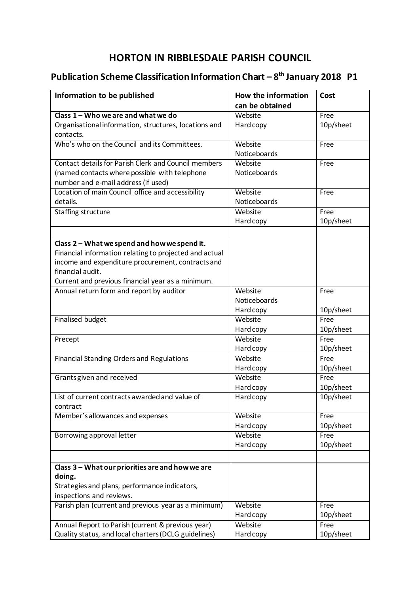# **HORTON IN RIBBLESDALE PARISH COUNCIL**

## **Publication Scheme Classification Information Chart – 8 th January 2018 P1**

| Information to be published                            | How the information | Cost      |
|--------------------------------------------------------|---------------------|-----------|
|                                                        | can be obtained     |           |
| Class 1 - Who we are and what we do                    | Website             | Free      |
| Organisational information, structures, locations and  | Hard copy           | 10p/sheet |
| contacts.                                              |                     |           |
| Who's who on the Council and its Committees.           | Website             | Free      |
|                                                        | Noticeboards        |           |
| Contact details for Parish Clerk and Council members   | Website             | Free      |
| (named contacts where possible with telephone          | Noticeboards        |           |
| number and e-mail address (if used)                    |                     |           |
| Location of main Council office and accessibility      | Website             | Free      |
| details.                                               | Noticeboards        |           |
| Staffing structure                                     | Website             | Free      |
|                                                        | Hard copy           | 10p/sheet |
|                                                        |                     |           |
|                                                        |                     |           |
| Class 2 - What we spend and how we spend it.           |                     |           |
| Financial information relating to projected and actual |                     |           |
| income and expenditure procurement, contracts and      |                     |           |
| financial audit.                                       |                     |           |
| Current and previous financial year as a minimum.      |                     |           |
| Annual return form and report by auditor               | Website             | Free      |
|                                                        | Noticeboards        |           |
|                                                        | Hard copy           | 10p/sheet |
| <b>Finalised budget</b>                                | Website             | Free      |
|                                                        | Hard copy           | 10p/sheet |
| Precept                                                | Website             | Free      |
|                                                        | Hard copy           | 10p/sheet |
| Financial Standing Orders and Regulations              | Website             | Free      |
|                                                        | Hard copy           | 10p/sheet |
| Grants given and received                              | Website             | Free      |
|                                                        | Hard copy           | 10p/sheet |
| List of current contracts awarded and value of         | Hard copy           | 10p/sheet |
| contract                                               |                     |           |
| Member's allowances and expenses                       | Website             | Free      |
|                                                        | Hard copy           | 10p/sheet |
| Borrowing approval letter                              | Website             | Free      |
|                                                        | Hard copy           | 10p/sheet |
|                                                        |                     |           |
| Class 3 - What our priorities are and how we are       |                     |           |
| doing.                                                 |                     |           |
| Strategies and plans, performance indicators,          |                     |           |
| inspections and reviews.                               |                     |           |
| Parish plan (current and previous year as a minimum)   | Website             | Free      |
|                                                        |                     |           |
|                                                        | Hard copy           | 10p/sheet |
| Annual Report to Parish (current & previous year)      | Website             | Free      |
| Quality status, and local charters (DCLG guidelines)   | Hard copy           | 10p/sheet |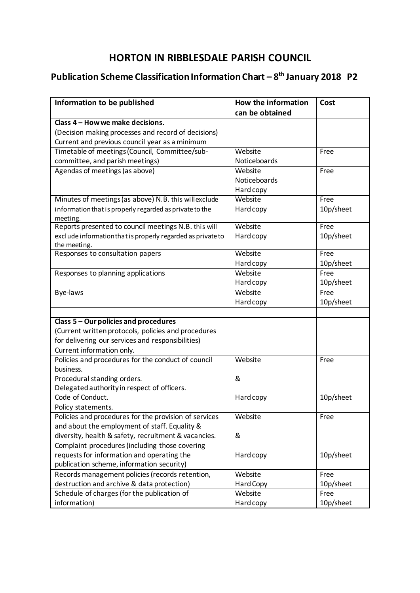# **HORTON IN RIBBLESDALE PARISH COUNCIL**

## **Publication Scheme Classification Information Chart – 8 th January 2018 P2**

| Information to be published                                 | How the information | Cost      |
|-------------------------------------------------------------|---------------------|-----------|
|                                                             | can be obtained     |           |
| Class 4 - How we make decisions.                            |                     |           |
| (Decision making processes and record of decisions)         |                     |           |
| Current and previous council year as a minimum              |                     |           |
| Timetable of meetings (Council, Committee/sub-              | Website             | Free      |
| committee, and parish meetings)                             | Noticeboards        |           |
| Agendas of meetings (as above)                              | Website             | Free      |
|                                                             | Noticeboards        |           |
|                                                             | Hard copy           |           |
| Minutes of meetings (as above) N.B. this willexclude        | Website             | Free      |
| information that is properly regarded as private to the     | Hard copy           | 10p/sheet |
| meeting.                                                    |                     |           |
| Reports presented to council meetings N.B. this will        | Website             | Free      |
| exclude information that is properly regarded as private to | Hard copy           | 10p/sheet |
| the meeting.                                                |                     |           |
| Responses to consultation papers                            | Website             | Free      |
|                                                             | Hard copy           | 10p/sheet |
| Responses to planning applications                          | Website             | Free      |
|                                                             | Hard copy           | 10p/sheet |
| Bye-laws                                                    | Website             | Free      |
|                                                             | Hard copy           | 10p/sheet |
|                                                             |                     |           |
| Class 5 - Our policies and procedures                       |                     |           |
| (Current written protocols, policies and procedures         |                     |           |
| for delivering our services and responsibilities)           |                     |           |
| Current information only.                                   |                     |           |
| Policies and procedures for the conduct of council          | Website             | Free      |
| business.                                                   |                     |           |
| Procedural standing orders.                                 | &                   |           |
| Delegated authority in respect of officers.                 |                     |           |
| Code of Conduct.                                            | Hard copy           | 10p/sheet |
| Policy statements.                                          |                     |           |
| Policies and procedures for the provision of services       | Website             | Free      |
| and about the employment of staff. Equality &               |                     |           |
| diversity, health & safety, recruitment & vacancies.        | &                   |           |
| Complaint procedures (including those covering              |                     |           |
| requests for information and operating the                  | Hard copy           | 10p/sheet |
| publication scheme, information security)                   |                     |           |
| Records management policies (records retention,             | Website             | Free      |
| destruction and archive & data protection)                  | Hard Copy           | 10p/sheet |
| Schedule of charges (for the publication of                 | Website             | Free      |
| information)                                                | Hard copy           | 10p/sheet |